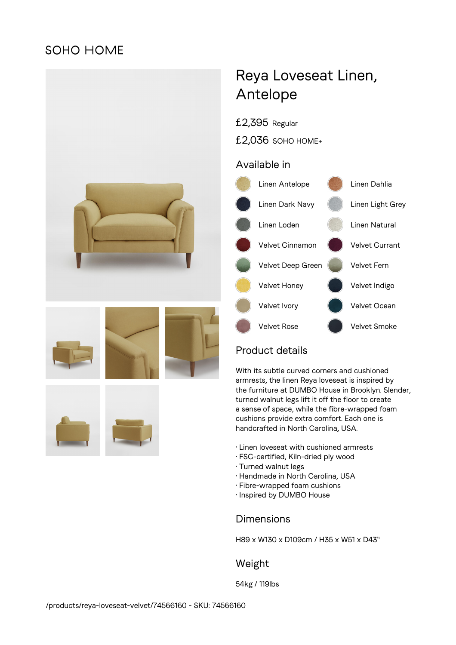## **SOHO HOME**







# Reya Loveseat Linen, Antelope

- £2,395 Regular
- £2,036 SOHO HOME+

### Available in



### Product details

With its subtle curved corners and cushioned armrests, the linen Reya loveseat is inspired by the furniture at DUMBO House in Brooklyn. Slender, turned walnut legs lift it off the floor to create a sense of space, while the fibre-wrapped foam cushions provide extra comfort. Each one is handcrafted in North Carolina, USA.

- Linen loveseat with cushioned armrests
- FSC-certified, Kiln-dried ply wood
- Turned walnut legs
- Handmade in North Carolina, USA
- Fibre-wrapped foam cushions
- Inspired by DUMBO House

### Dimensions

H89 x W130 x D109cm / H35 x W51 x D43"

### Weight

54kg / 119lbs